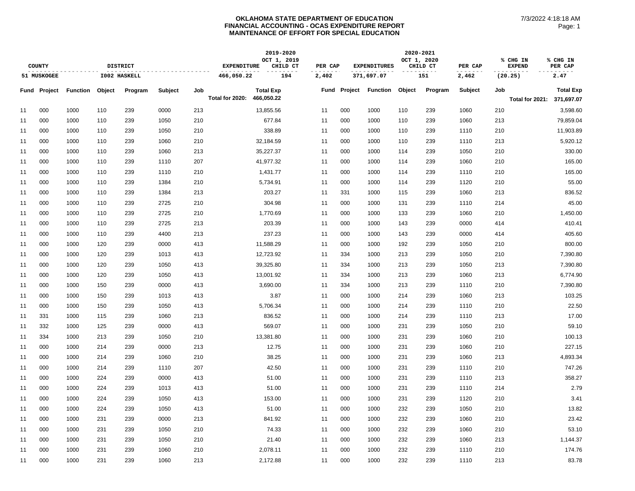|                             |                     |                 |            |                 | 2019-2020      |            |                    |                         | 2020-2021 |         |                     |             |          |         |                           |                 |                     |
|-----------------------------|---------------------|-----------------|------------|-----------------|----------------|------------|--------------------|-------------------------|-----------|---------|---------------------|-------------|----------|---------|---------------------------|-----------------|---------------------|
|                             | COUNTY              |                 |            | <b>DISTRICT</b> |                |            | <b>EXPENDITURE</b> | OCT 1, 2019<br>CHILD CT | PER CAP   |         | <b>EXPENDITURES</b> | OCT 1, 2020 | CHILD CT | PER CAP | % CHG IN<br><b>EXPEND</b> |                 | % CHG IN<br>PER CAP |
| 51 MUSKOGEE<br>I002 HASKELL |                     |                 | 466,050.22 | 194             | 2,402          | 371,697.07 |                    | 151                     |           | 2,462   | (20.25)             |             | 2.47     |         |                           |                 |                     |
|                             | <b>Fund Project</b> | <b>Function</b> | Object     | Program         | <b>Subject</b> | Job        |                    | <b>Total Exp</b>        | Fund      | Project | Function            | Object      | Program  | Subject | Job                       |                 | <b>Total Exp</b>    |
|                             |                     |                 |            |                 |                |            | Total for 2020:    | 466,050.22              |           |         |                     |             |          |         |                           | Total for 2021: | 371,697.07          |
| 11                          | 000                 | 1000            | 110        | 239             | 0000           | 213        |                    | 13,855.56               | 11        | 000     | 1000                | 110         | 239      | 1060    | 210                       |                 | 3,598.60            |
| 11                          | 000                 | 1000            | 110        | 239             | 1050           | 210        |                    | 677.84                  | 11        | 000     | 1000                | 110         | 239      | 1060    | 213                       |                 | 79,859.04           |
| 11                          | 000                 | 1000            | 110        | 239             | 1050           | 210        |                    | 338.89                  | 11        | 000     | 1000                | 110         | 239      | 1110    | 210                       |                 | 11,903.89           |
| 11                          | 000                 | 1000            | 110        | 239             | 1060           | 210        |                    | 32,184.59               | 11        | 000     | 1000                | 110         | 239      | 1110    | 213                       |                 | 5,920.12            |
| 11                          | 000                 | 1000            | 110        | 239             | 1060           | 213        |                    | 35,227.37               | 11        | 000     | 1000                | 114         | 239      | 1050    | 210                       |                 | 330.00              |
| 11                          | 000                 | 1000            | 110        | 239             | 1110           | 207        |                    | 41,977.32               | 11        | 000     | 1000                | 114         | 239      | 1060    | 210                       |                 | 165.00              |
| 11                          | 000                 | 1000            | 110        | 239             | 1110           | 210        |                    | 1,431.77                | 11        | 000     | 1000                | 114         | 239      | 1110    | 210                       |                 | 165.00              |
| 11                          | 000                 | 1000            | 110        | 239             | 1384           | 210        |                    | 5,734.91                | 11        | 000     | 1000                | 114         | 239      | 1120    | 210                       |                 | 55.00               |
| 11                          | 000                 | 1000            | 110        | 239             | 1384           | 213        |                    | 203.27                  | 11        | 331     | 1000                | 115         | 239      | 1060    | 213                       |                 | 836.52              |
| 11                          | 000                 | 1000            | 110        | 239             | 2725           | 210        |                    | 304.98                  | 11        | 000     | 1000                | 131         | 239      | 1110    | 214                       |                 | 45.00               |
| 11                          | 000                 | 1000            | 110        | 239             | 2725           | 210        |                    | 1,770.69                | 11        | 000     | 1000                | 133         | 239      | 1060    | 210                       |                 | 1,450.00            |
| 11                          | 000                 | 1000            | 110        | 239             | 2725           | 213        |                    | 203.39                  | 11        | 000     | 1000                | 143         | 239      | 0000    | 414                       |                 | 410.41              |
| 11                          | 000                 | 1000            | 110        | 239             | 4400           | 213        |                    | 237.23                  | 11        | 000     | 1000                | 143         | 239      | 0000    | 414                       |                 | 405.60              |
| 11                          | 000                 | 1000            | 120        | 239             | 0000           | 413        |                    | 11,588.29               | 11        | 000     | 1000                | 192         | 239      | 1050    | 210                       |                 | 800.00              |
| 11                          | 000                 | 1000            | 120        | 239             | 1013           | 413        |                    | 12,723.92               | 11        | 334     | 1000                | 213         | 239      | 1050    | 210                       |                 | 7,390.80            |
| 11                          | 000                 | 1000            | 120        | 239             | 1050           | 413        |                    | 39,325.80               | 11        | 334     | 1000                | 213         | 239      | 1050    | 213                       |                 | 7,390.80            |
| 11                          | 000                 | 1000            | 120        | 239             | 1050           | 413        |                    | 13,001.92               | 11        | 334     | 1000                | 213         | 239      | 1060    | 213                       |                 | 6,774.90            |
| 11                          | 000                 | 1000            | 150        | 239             | 0000           | 413        |                    | 3,690.00                | 11        | 334     | 1000                | 213         | 239      | 1110    | 210                       |                 | 7,390.80            |
| 11                          | 000                 | 1000            | 150        | 239             | 1013           | 413        |                    | 3.87                    | 11        | 000     | 1000                | 214         | 239      | 1060    | 213                       |                 | 103.25              |
| 11                          | 000                 | 1000            | 150        | 239             | 1050           | 413        |                    | 5,706.34                | 11        | 000     | 1000                | 214         | 239      | 1110    | 210                       |                 | 22.50               |
| 11                          | 331                 | 1000            | 115        | 239             | 1060           | 213        |                    | 836.52                  | 11        | 000     | 1000                | 214         | 239      | 1110    | 213                       |                 | 17.00               |
| 11                          | 332                 | 1000            | 125        | 239             | 0000           | 413        |                    | 569.07                  | 11        | 000     | 1000                | 231         | 239      | 1050    | 210                       |                 | 59.10               |
| 11                          | 334                 | 1000            | 213        | 239             | 1050           | 210        |                    | 13,381.80               | 11        | 000     | 1000                | 231         | 239      | 1060    | 210                       |                 | 100.13              |
| 11                          | 000                 | 1000            | 214        | 239             | 0000           | 213        |                    | 12.75                   | 11        | 000     | 1000                | 231         | 239      | 1060    | 210                       |                 | 227.15              |
| 11                          | 000                 | 1000            | 214        | 239             | 1060           | 210        |                    | 38.25                   | 11        | 000     | 1000                | 231         | 239      | 1060    | 213                       |                 | 4,893.34            |
| 11                          | 000                 | 1000            | 214        | 239             | 1110           | 207        |                    | 42.50                   | 11        | 000     | 1000                | 231         | 239      | 1110    | 210                       |                 | 747.26              |
| 11                          | 000                 | 1000            | 224        | 239             | 0000           | 413        |                    | 51.00                   | 11        | 000     | 1000                | 231         | 239      | 1110    | 213                       |                 | 358.27              |
| 11                          | 000                 | 1000            | 224        | 239             | 1013           | 413        |                    | 51.00                   | 11        | 000     | 1000                | 231         | 239      | 1110    | 214                       |                 | 2.79                |
| 11                          | 000                 | 1000            | 224        | 239             | 1050           | 413        |                    | 153.00                  | 11        | 000     | 1000                | 231         | 239      | 1120    | 210                       |                 | 3.41                |
| 11                          | 000                 | 1000            | 224        | 239             | 1050           | 413        |                    | 51.00                   | 11        | 000     | 1000                | 232         | 239      | 1050    | 210                       |                 | 13.82               |
| 11                          | 000                 | 1000            | 231        | 239             | 0000           | 213        |                    | 841.92                  | 11        | 000     | 1000                | 232         | 239      | 1060    | 210                       |                 | 23.42               |
| 11                          | 000                 | 1000            | 231        | 239             | 1050           | 210        |                    | 74.33                   | 11        | 000     | 1000                | 232         | 239      | 1060    | 210                       |                 | 53.10               |
| 11                          | 000                 | 1000            | 231        | 239             | 1050           | 210        |                    | 21.40                   | 11        | 000     | 1000                | 232         | 239      | 1060    | 213                       |                 | 1,144.37            |
| 11                          | 000                 | 1000            | 231        | 239             | 1060           | 210        |                    | 2,078.11                | 11        | 000     | 1000                | 232         | 239      | 1110    | 210                       |                 | 174.76              |
| 11                          | 000                 | 1000            | 231        | 239             | 1060           | 213        |                    | 2,172.88                | 11        | 000     | 1000                | 232         | 239      | 1110    | 213                       |                 | 83.78               |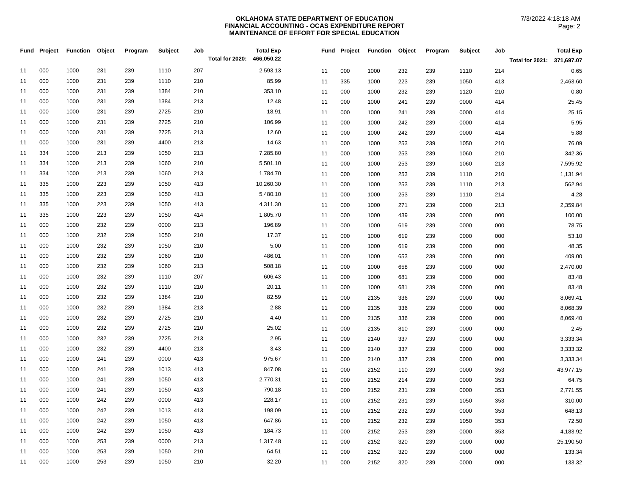|    | Fund Project | Function | Object | Program | Subject | Job<br>Total for 2020: | <b>Total Exp</b><br>466,050.22 |    |     | Fund Project Function | Object | Program | Subject | Job | <b>Total Exp</b>           |
|----|--------------|----------|--------|---------|---------|------------------------|--------------------------------|----|-----|-----------------------|--------|---------|---------|-----|----------------------------|
|    |              |          |        |         |         |                        |                                |    |     |                       |        |         |         |     | Total for 2021: 371,697.07 |
| 11 | 000          | 1000     | 231    | 239     | 1110    | 207                    | 2,593.13                       | 11 | 000 | 1000                  | 232    | 239     | 1110    | 214 | 0.65                       |
| 11 | 000          | 1000     | 231    | 239     | 1110    | 210                    | 85.99                          | 11 | 335 | 1000                  | 223    | 239     | 1050    | 413 | 2,463.60                   |
| 11 | 000          | 1000     | 231    | 239     | 1384    | 210                    | 353.10                         | 11 | 000 | 1000                  | 232    | 239     | 1120    | 210 | 0.80                       |
| 11 | 000          | 1000     | 231    | 239     | 1384    | 213                    | 12.48                          | 11 | 000 | 1000                  | 241    | 239     | 0000    | 414 | 25.45                      |
| 11 | 000          | 1000     | 231    | 239     | 2725    | 210                    | 18.91                          | 11 | 000 | 1000                  | 241    | 239     | 0000    | 414 | 25.15                      |
| 11 | 000          | 1000     | 231    | 239     | 2725    | 210                    | 106.99                         | 11 | 000 | 1000                  | 242    | 239     | 0000    | 414 | 5.95                       |
| 11 | 000          | 1000     | 231    | 239     | 2725    | 213                    | 12.60                          | 11 | 000 | 1000                  | 242    | 239     | 0000    | 414 | 5.88                       |
| 11 | 000          | 1000     | 231    | 239     | 4400    | 213                    | 14.63                          | 11 | 000 | 1000                  | 253    | 239     | 1050    | 210 | 76.09                      |
| 11 | 334          | 1000     | 213    | 239     | 1050    | 213                    | 7,285.80                       | 11 | 000 | 1000                  | 253    | 239     | 1060    | 210 | 342.36                     |
| 11 | 334          | 1000     | 213    | 239     | 1060    | 210                    | 5,501.10                       | 11 | 000 | 1000                  | 253    | 239     | 1060    | 213 | 7,595.92                   |
| 11 | 334          | 1000     | 213    | 239     | 1060    | 213                    | 1,784.70                       | 11 | 000 | 1000                  | 253    | 239     | 1110    | 210 | 1,131.94                   |
| 11 | 335          | 1000     | 223    | 239     | 1050    | 413                    | 10,260.30                      | 11 | 000 | 1000                  | 253    | 239     | 1110    | 213 | 562.94                     |
| 11 | 335          | 1000     | 223    | 239     | 1050    | 413                    | 5,480.10                       | 11 | 000 | 1000                  | 253    | 239     | 1110    | 214 | 4.28                       |
| 11 | 335          | 1000     | 223    | 239     | 1050    | 413                    | 4,311.30                       | 11 | 000 | 1000                  | 271    | 239     | 0000    | 213 | 2,359.84                   |
| 11 | 335          | 1000     | 223    | 239     | 1050    | 414                    | 1,805.70                       | 11 | 000 | 1000                  | 439    | 239     | 0000    | 000 | 100.00                     |
| 11 | 000          | 1000     | 232    | 239     | 0000    | 213                    | 196.89                         | 11 | 000 | 1000                  | 619    | 239     | 0000    | 000 | 78.75                      |
| 11 | 000          | 1000     | 232    | 239     | 1050    | 210                    | 17.37                          | 11 | 000 | 1000                  | 619    | 239     | 0000    | 000 | 53.10                      |
| 11 | 000          | 1000     | 232    | 239     | 1050    | 210                    | 5.00                           | 11 | 000 | 1000                  | 619    | 239     | 0000    | 000 | 48.35                      |
| 11 | 000          | 1000     | 232    | 239     | 1060    | 210                    | 486.01                         | 11 | 000 | 1000                  | 653    | 239     | 0000    | 000 | 409.00                     |
| 11 | 000          | 1000     | 232    | 239     | 1060    | 213                    | 508.18                         | 11 | 000 | 1000                  | 658    | 239     | 0000    | 000 | 2,470.00                   |
| 11 | 000          | 1000     | 232    | 239     | 1110    | 207                    | 606.43                         | 11 | 000 | 1000                  | 681    | 239     | 0000    | 000 | 83.48                      |
| 11 | 000          | 1000     | 232    | 239     | 1110    | 210                    | 20.11                          | 11 | 000 | 1000                  | 681    | 239     | 0000    | 000 | 83.48                      |
| 11 | 000          | 1000     | 232    | 239     | 1384    | 210                    | 82.59                          | 11 | 000 | 2135                  | 336    | 239     | 0000    | 000 | 8,069.41                   |
| 11 | 000          | 1000     | 232    | 239     | 1384    | 213                    | 2.88                           | 11 | 000 | 2135                  | 336    | 239     | 0000    | 000 | 8,068.39                   |
| 11 | 000          | 1000     | 232    | 239     | 2725    | 210                    | 4.40                           | 11 | 000 | 2135                  | 336    | 239     | 0000    | 000 | 8,069.40                   |
| 11 | 000          | 1000     | 232    | 239     | 2725    | 210                    | 25.02                          | 11 | 000 | 2135                  | 810    | 239     | 0000    | 000 | 2.45                       |
| 11 | 000          | 1000     | 232    | 239     | 2725    | 213                    | 2.95                           | 11 | 000 | 2140                  | 337    | 239     | 0000    | 000 | 3,333.34                   |
| 11 | 000          | 1000     | 232    | 239     | 4400    | 213                    | 3.43                           | 11 | 000 | 2140                  | 337    | 239     | 0000    | 000 | 3,333.32                   |
| 11 | 000          | 1000     | 241    | 239     | 0000    | 413                    | 975.67                         | 11 | 000 | 2140                  | 337    | 239     | 0000    | 000 | 3,333.34                   |
| 11 | 000          | 1000     | 241    | 239     | 1013    | 413                    | 847.08                         | 11 | 000 | 2152                  | 110    | 239     | 0000    | 353 | 43,977.15                  |
| 11 | 000          | 1000     | 241    | 239     | 1050    | 413                    | 2,770.31                       | 11 | 000 | 2152                  | 214    | 239     | 0000    | 353 | 64.75                      |
| 11 | 000          | 1000     | 241    | 239     | 1050    | 413                    | 790.18                         | 11 | 000 | 2152                  | 231    | 239     | 0000    | 353 | 2,771.55                   |
| 11 | 000          | 1000     | 242    | 239     | 0000    | 413                    | 228.17                         | 11 | 000 | 2152                  | 231    | 239     | 1050    | 353 | 310.00                     |
| 11 | 000          | 1000     | 242    | 239     | 1013    | 413                    | 198.09                         | 11 | 000 | 2152                  | 232    | 239     | 0000    | 353 | 648.13                     |
| 11 | 000          | 1000     | 242    | 239     | 1050    | 413                    | 647.86                         | 11 | 000 | 2152                  | 232    | 239     | 1050    | 353 | 72.50                      |
| 11 | 000          | 1000     | 242    | 239     | 1050    | 413                    | 184.73                         | 11 | 000 | 2152                  | 253    | 239     | 0000    | 353 | 4,183.92                   |
| 11 | 000          | 1000     | 253    | 239     | 0000    | 213                    | 1,317.48                       | 11 | 000 | 2152                  | 320    | 239     | 0000    | 000 | 25,190.50                  |
| 11 | 000          | 1000     | 253    | 239     | 1050    | 210                    | 64.51                          | 11 | 000 | 2152                  | 320    | 239     | 0000    | 000 | 133.34                     |
| 11 | 000          | 1000     | 253    | 239     | 1050    | 210                    | 32.20                          | 11 | 000 | 2152                  | 320    | 239     | 0000    | 000 | 133.32                     |
|    |              |          |        |         |         |                        |                                |    |     |                       |        |         |         |     |                            |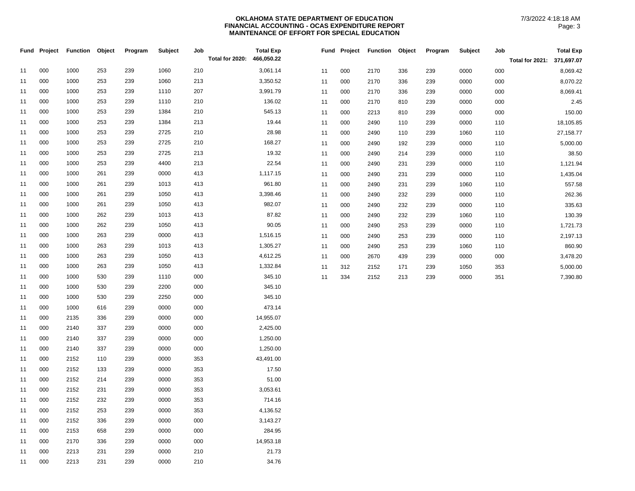| 000<br>253<br>239<br>3,061.14<br>11<br>1000<br>1060<br>210<br>000<br>0000<br>11<br>2170<br>336<br>239<br>000<br>000<br>239<br>213<br>3,350.52<br>11<br>1000<br>253<br>1060<br>0000<br>000<br>2170<br>000<br>11<br>336<br>239<br>000<br>253<br>239<br>207<br>3,991.79<br>1000<br>1110<br>11<br>0000<br>11<br>000<br>2170<br>336<br>239<br>000<br>136.02<br>11<br>000<br>1000<br>253<br>239<br>1110<br>210<br>000<br>2170<br>0000<br>11<br>810<br>239<br>000<br>545.13<br>000<br>1000<br>253<br>239<br>1384<br>210<br>11<br>000<br>0000<br>11<br>2213<br>239<br>000<br>810<br>000<br>1000<br>253<br>239<br>1384<br>213<br>19.44<br>11<br>11<br>000<br>2490<br>239<br>0000<br>110<br>110<br>000<br>239<br>2725<br>28.98<br>11<br>1000<br>253<br>210<br>11<br>000<br>2490<br>239<br>1060<br>110<br>110<br>000<br>253<br>239<br>2725<br>210<br>168.27<br>11<br>1000<br>0000<br>000<br>2490<br>11<br>192<br>239<br>110<br>19.32<br>000<br>253<br>239<br>2725<br>213<br>11<br>1000 | Fund Project | <b>Function Object</b> | Program | <b>Subject</b> | Job | Total for 2020: | <b>Total Exp</b><br>466,050.22 |    |     | Fund Project Function Object |     | Program | Subject | Job | <b>Total Exp</b><br>Total for 2021: 371,697.07 |
|-----------------------------------------------------------------------------------------------------------------------------------------------------------------------------------------------------------------------------------------------------------------------------------------------------------------------------------------------------------------------------------------------------------------------------------------------------------------------------------------------------------------------------------------------------------------------------------------------------------------------------------------------------------------------------------------------------------------------------------------------------------------------------------------------------------------------------------------------------------------------------------------------------------------------------------------------------------------------------|--------------|------------------------|---------|----------------|-----|-----------------|--------------------------------|----|-----|------------------------------|-----|---------|---------|-----|------------------------------------------------|
|                                                                                                                                                                                                                                                                                                                                                                                                                                                                                                                                                                                                                                                                                                                                                                                                                                                                                                                                                                             |              |                        |         |                |     |                 |                                |    |     |                              |     |         |         |     | 8,069.42                                       |
|                                                                                                                                                                                                                                                                                                                                                                                                                                                                                                                                                                                                                                                                                                                                                                                                                                                                                                                                                                             |              |                        |         |                |     |                 |                                |    |     |                              |     |         |         |     | 8,070.22                                       |
|                                                                                                                                                                                                                                                                                                                                                                                                                                                                                                                                                                                                                                                                                                                                                                                                                                                                                                                                                                             |              |                        |         |                |     |                 |                                |    |     |                              |     |         |         |     | 8,069.41                                       |
|                                                                                                                                                                                                                                                                                                                                                                                                                                                                                                                                                                                                                                                                                                                                                                                                                                                                                                                                                                             |              |                        |         |                |     |                 |                                |    |     |                              |     |         |         |     | 2.45                                           |
|                                                                                                                                                                                                                                                                                                                                                                                                                                                                                                                                                                                                                                                                                                                                                                                                                                                                                                                                                                             |              |                        |         |                |     |                 |                                |    |     |                              |     |         |         |     | 150.00                                         |
|                                                                                                                                                                                                                                                                                                                                                                                                                                                                                                                                                                                                                                                                                                                                                                                                                                                                                                                                                                             |              |                        |         |                |     |                 |                                |    |     |                              |     |         |         |     | 18,105.85                                      |
|                                                                                                                                                                                                                                                                                                                                                                                                                                                                                                                                                                                                                                                                                                                                                                                                                                                                                                                                                                             |              |                        |         |                |     |                 |                                |    |     |                              |     |         |         |     | 27,158.77                                      |
|                                                                                                                                                                                                                                                                                                                                                                                                                                                                                                                                                                                                                                                                                                                                                                                                                                                                                                                                                                             |              |                        |         |                |     |                 |                                |    |     |                              |     |         |         |     | 5,000.00                                       |
|                                                                                                                                                                                                                                                                                                                                                                                                                                                                                                                                                                                                                                                                                                                                                                                                                                                                                                                                                                             |              |                        |         |                |     |                 |                                | 11 | 000 | 2490                         | 214 | 239     | 0000    | 110 | 38.50                                          |
| 000<br>239<br>4400<br>22.54<br>11<br>1000<br>253<br>213<br>0000<br>11<br>000<br>2490<br>231<br>239<br>110                                                                                                                                                                                                                                                                                                                                                                                                                                                                                                                                                                                                                                                                                                                                                                                                                                                                   |              |                        |         |                |     |                 |                                |    |     |                              |     |         |         |     | 1,121.94                                       |
| 000<br>0000<br>413<br>1,117.15<br>11<br>1000<br>261<br>239<br>000<br>2490<br>0000<br>11<br>231<br>239<br>110                                                                                                                                                                                                                                                                                                                                                                                                                                                                                                                                                                                                                                                                                                                                                                                                                                                                |              |                        |         |                |     |                 |                                |    |     |                              |     |         |         |     | 1,435.04                                       |
| 961.80<br>000<br>1000<br>261<br>239<br>1013<br>413<br>11<br>11<br>000<br>2490<br>231<br>239<br>1060<br>110                                                                                                                                                                                                                                                                                                                                                                                                                                                                                                                                                                                                                                                                                                                                                                                                                                                                  |              |                        |         |                |     |                 |                                |    |     |                              |     |         |         |     | 557.58                                         |
| 11<br>000<br>1000<br>261<br>239<br>1050<br>413<br>3,398.46<br>000<br>0000<br>11<br>2490<br>232<br>239<br>110                                                                                                                                                                                                                                                                                                                                                                                                                                                                                                                                                                                                                                                                                                                                                                                                                                                                |              |                        |         |                |     |                 |                                |    |     |                              |     |         |         |     | 262.36                                         |
| 982.07<br>11<br>000<br>1000<br>261<br>239<br>1050<br>413<br>0000<br>11<br>000<br>2490<br>232<br>239<br>110                                                                                                                                                                                                                                                                                                                                                                                                                                                                                                                                                                                                                                                                                                                                                                                                                                                                  |              |                        |         |                |     |                 |                                |    |     |                              |     |         |         |     | 335.63                                         |
| 87.82<br>000<br>1000<br>262<br>239<br>1013<br>413<br>11<br>11<br>000<br>2490<br>232<br>239<br>1060<br>110                                                                                                                                                                                                                                                                                                                                                                                                                                                                                                                                                                                                                                                                                                                                                                                                                                                                   |              |                        |         |                |     |                 |                                |    |     |                              |     |         |         |     | 130.39                                         |
| 90.05<br>000<br>262<br>239<br>11<br>1000<br>1050<br>413<br>0000<br>11<br>000<br>2490<br>253<br>239<br>110                                                                                                                                                                                                                                                                                                                                                                                                                                                                                                                                                                                                                                                                                                                                                                                                                                                                   |              |                        |         |                |     |                 |                                |    |     |                              |     |         |         |     | 1,721.73                                       |
| 000<br>1000<br>263<br>239<br>0000<br>413<br>1,516.15<br>000<br>11<br>2490<br>253<br>239<br>0000<br>11<br>110                                                                                                                                                                                                                                                                                                                                                                                                                                                                                                                                                                                                                                                                                                                                                                                                                                                                |              |                        |         |                |     |                 |                                |    |     |                              |     |         |         |     | 2,197.13                                       |
| 263<br>239<br>1,305.27<br>11<br>000<br>1000<br>1013<br>413<br>11<br>000<br>2490<br>253<br>239<br>1060<br>110                                                                                                                                                                                                                                                                                                                                                                                                                                                                                                                                                                                                                                                                                                                                                                                                                                                                |              |                        |         |                |     |                 |                                |    |     |                              |     |         |         |     | 860.90                                         |
| 4,612.25<br>11<br>000<br>1000<br>263<br>239<br>1050<br>413<br>11<br>000<br>2670<br>439<br>239<br>0000<br>000                                                                                                                                                                                                                                                                                                                                                                                                                                                                                                                                                                                                                                                                                                                                                                                                                                                                |              |                        |         |                |     |                 |                                |    |     |                              |     |         |         |     | 3,478.20                                       |
| 000<br>1,332.84<br>11<br>1000<br>263<br>239<br>1050<br>413<br>312<br>2152<br>1050<br>353<br>11<br>171<br>239                                                                                                                                                                                                                                                                                                                                                                                                                                                                                                                                                                                                                                                                                                                                                                                                                                                                |              |                        |         |                |     |                 |                                |    |     |                              |     |         |         |     | 5,000.00                                       |
| 000<br>239<br>345.10<br>11<br>1000<br>530<br>1110<br>000<br>334<br>2152<br>0000<br>351<br>11<br>213<br>239                                                                                                                                                                                                                                                                                                                                                                                                                                                                                                                                                                                                                                                                                                                                                                                                                                                                  |              |                        |         |                |     |                 |                                |    |     |                              |     |         |         |     | 7,390.80                                       |
| 345.10<br>11<br>000<br>1000<br>530<br>239<br>2200<br>000                                                                                                                                                                                                                                                                                                                                                                                                                                                                                                                                                                                                                                                                                                                                                                                                                                                                                                                    |              |                        |         |                |     |                 |                                |    |     |                              |     |         |         |     |                                                |
| 345.10<br>000<br>1000<br>530<br>239<br>2250<br>000<br>11                                                                                                                                                                                                                                                                                                                                                                                                                                                                                                                                                                                                                                                                                                                                                                                                                                                                                                                    |              |                        |         |                |     |                 |                                |    |     |                              |     |         |         |     |                                                |
| 473.14<br>000<br>1000<br>239<br>0000<br>000<br>11<br>616                                                                                                                                                                                                                                                                                                                                                                                                                                                                                                                                                                                                                                                                                                                                                                                                                                                                                                                    |              |                        |         |                |     |                 |                                |    |     |                              |     |         |         |     |                                                |
| 000<br>2135<br>336<br>239<br>0000<br>000<br>14,955.07<br>11                                                                                                                                                                                                                                                                                                                                                                                                                                                                                                                                                                                                                                                                                                                                                                                                                                                                                                                 |              |                        |         |                |     |                 |                                |    |     |                              |     |         |         |     |                                                |
| 000<br>337<br>239<br>0000<br>000<br>2,425.00<br>11<br>2140                                                                                                                                                                                                                                                                                                                                                                                                                                                                                                                                                                                                                                                                                                                                                                                                                                                                                                                  |              |                        |         |                |     |                 |                                |    |     |                              |     |         |         |     |                                                |
| 000<br>337<br>239<br>1,250.00<br>11<br>2140<br>0000<br>000                                                                                                                                                                                                                                                                                                                                                                                                                                                                                                                                                                                                                                                                                                                                                                                                                                                                                                                  |              |                        |         |                |     |                 |                                |    |     |                              |     |         |         |     |                                                |
| 000<br>1,250.00<br>11<br>2140<br>337<br>239<br>0000<br>000                                                                                                                                                                                                                                                                                                                                                                                                                                                                                                                                                                                                                                                                                                                                                                                                                                                                                                                  |              |                        |         |                |     |                 |                                |    |     |                              |     |         |         |     |                                                |
| 000<br>239<br>0000<br>353<br>43,491.00<br>2152<br>110<br>11                                                                                                                                                                                                                                                                                                                                                                                                                                                                                                                                                                                                                                                                                                                                                                                                                                                                                                                 |              |                        |         |                |     |                 |                                |    |     |                              |     |         |         |     |                                                |
| 17.50<br>000<br>2152<br>133<br>239<br>0000<br>353<br>11                                                                                                                                                                                                                                                                                                                                                                                                                                                                                                                                                                                                                                                                                                                                                                                                                                                                                                                     |              |                        |         |                |     |                 |                                |    |     |                              |     |         |         |     |                                                |
| 51.00<br>11<br>000<br>2152<br>214<br>239<br>0000<br>353                                                                                                                                                                                                                                                                                                                                                                                                                                                                                                                                                                                                                                                                                                                                                                                                                                                                                                                     |              |                        |         |                |     |                 |                                |    |     |                              |     |         |         |     |                                                |
| 3,053.61<br>11<br>000<br>2152<br>231<br>239<br>0000<br>353                                                                                                                                                                                                                                                                                                                                                                                                                                                                                                                                                                                                                                                                                                                                                                                                                                                                                                                  |              |                        |         |                |     |                 |                                |    |     |                              |     |         |         |     |                                                |
| 000<br>2152<br>232<br>239<br>0000<br>353<br>714.16<br>11                                                                                                                                                                                                                                                                                                                                                                                                                                                                                                                                                                                                                                                                                                                                                                                                                                                                                                                    |              |                        |         |                |     |                 |                                |    |     |                              |     |         |         |     |                                                |
| 000<br>2152<br>253<br>239<br>0000<br>353<br>4,136.52<br>11                                                                                                                                                                                                                                                                                                                                                                                                                                                                                                                                                                                                                                                                                                                                                                                                                                                                                                                  |              |                        |         |                |     |                 |                                |    |     |                              |     |         |         |     |                                                |
| 000<br>2152<br>336<br>239<br>0000<br>000<br>3,143.27<br>11<br>284.95<br>000<br>11<br>000<br>2153<br>658<br>239<br>0000                                                                                                                                                                                                                                                                                                                                                                                                                                                                                                                                                                                                                                                                                                                                                                                                                                                      |              |                        |         |                |     |                 |                                |    |     |                              |     |         |         |     |                                                |
| 14,953.18<br>11<br>000<br>2170<br>336<br>239<br>0000<br>000                                                                                                                                                                                                                                                                                                                                                                                                                                                                                                                                                                                                                                                                                                                                                                                                                                                                                                                 |              |                        |         |                |     |                 |                                |    |     |                              |     |         |         |     |                                                |
| 000<br>2213<br>231<br>239<br>0000<br>210<br>21.73<br>11                                                                                                                                                                                                                                                                                                                                                                                                                                                                                                                                                                                                                                                                                                                                                                                                                                                                                                                     |              |                        |         |                |     |                 |                                |    |     |                              |     |         |         |     |                                                |
| 000<br>239<br>0000<br>210<br>34.76<br>11<br>2213<br>231                                                                                                                                                                                                                                                                                                                                                                                                                                                                                                                                                                                                                                                                                                                                                                                                                                                                                                                     |              |                        |         |                |     |                 |                                |    |     |                              |     |         |         |     |                                                |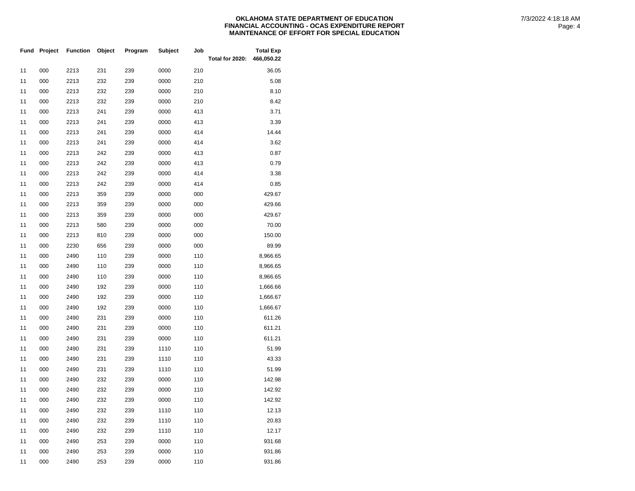|    | Fund Project | <b>Function</b> | Object | Program | <b>Subject</b> | Job | Total for 2020: | <b>Total Exp</b><br>466,050.22 |  |
|----|--------------|-----------------|--------|---------|----------------|-----|-----------------|--------------------------------|--|
| 11 | 000          | 2213            | 231    | 239     | 0000           | 210 |                 | 36.05                          |  |
| 11 | 000          | 2213            | 232    | 239     | 0000           | 210 |                 | 5.08                           |  |
| 11 | 000          | 2213            | 232    | 239     | 0000           | 210 |                 | 8.10                           |  |
| 11 | 000          | 2213            | 232    | 239     | 0000           | 210 |                 | 8.42                           |  |
| 11 | 000          | 2213            | 241    | 239     | 0000           | 413 |                 | 3.71                           |  |
| 11 | 000          | 2213            | 241    | 239     | 0000           | 413 |                 | 3.39                           |  |
| 11 | 000          | 2213            | 241    | 239     | 0000           | 414 |                 | 14.44                          |  |
| 11 | 000          | 2213            | 241    | 239     | 0000           | 414 |                 | 3.62                           |  |
| 11 | 000          | 2213            | 242    | 239     | 0000           | 413 |                 | 0.87                           |  |
| 11 | 000          | 2213            | 242    | 239     | 0000           | 413 |                 | 0.79                           |  |
| 11 | 000          | 2213            | 242    | 239     | 0000           | 414 |                 | 3.38                           |  |
| 11 | 000          | 2213            | 242    | 239     | 0000           | 414 |                 | 0.85                           |  |
| 11 | 000          | 2213            | 359    | 239     | 0000           | 000 |                 | 429.67                         |  |
| 11 | 000          | 2213            | 359    | 239     | 0000           | 000 |                 | 429.66                         |  |
| 11 | 000          | 2213            | 359    | 239     | 0000           | 000 |                 | 429.67                         |  |
| 11 | 000          | 2213            | 580    | 239     | 0000           | 000 |                 | 70.00                          |  |
| 11 | 000          | 2213            | 810    | 239     | 0000           | 000 |                 | 150.00                         |  |
| 11 | 000          | 2230            | 656    | 239     | 0000           | 000 |                 | 89.99                          |  |
| 11 | 000          | 2490            | 110    | 239     | 0000           | 110 |                 | 8,966.65                       |  |
| 11 | 000          | 2490            | 110    | 239     | 0000           | 110 |                 | 8,966.65                       |  |
| 11 | 000          | 2490            | 110    | 239     | 0000           | 110 |                 | 8,966.65                       |  |
| 11 | 000          | 2490            | 192    | 239     | 0000           | 110 |                 | 1,666.66                       |  |
| 11 | 000          | 2490            | 192    | 239     | 0000           | 110 |                 | 1,666.67                       |  |
| 11 | 000          | 2490            | 192    | 239     | 0000           | 110 |                 | 1,666.67                       |  |
| 11 | 000          | 2490            | 231    | 239     | 0000           | 110 |                 | 611.26                         |  |
| 11 | 000          | 2490            | 231    | 239     | 0000           | 110 |                 | 611.21                         |  |
| 11 | 000          | 2490            | 231    | 239     | 0000           | 110 |                 | 611.21                         |  |
| 11 | 000          | 2490            | 231    | 239     | 1110           | 110 |                 | 51.99                          |  |
| 11 | 000          | 2490            | 231    | 239     | 1110           | 110 |                 | 43.33                          |  |
| 11 | 000          | 2490            | 231    | 239     | 1110           | 110 |                 | 51.99                          |  |
| 11 | 000          | 2490            | 232    | 239     | 0000           | 110 |                 | 142.98                         |  |
| 11 | 000          | 2490            | 232    | 239     | 0000           | 110 |                 | 142.92                         |  |
| 11 | 000          | 2490            | 232    | 239     | 0000           | 110 |                 | 142.92                         |  |
| 11 | 000          | 2490            | 232    | 239     | 1110           | 110 |                 | 12.13                          |  |
| 11 | 000          | 2490            | 232    | 239     | 1110           | 110 |                 | 20.83                          |  |
| 11 | 000          | 2490            | 232    | 239     | 1110           | 110 |                 | 12.17                          |  |
| 11 | 000          | 2490            | 253    | 239     | 0000           | 110 |                 | 931.68                         |  |
| 11 | 000          | 2490            | 253    | 239     | 0000           | 110 |                 | 931.86                         |  |
| 11 | 000          | 2490            | 253    | 239     | 0000           | 110 |                 | 931.86                         |  |